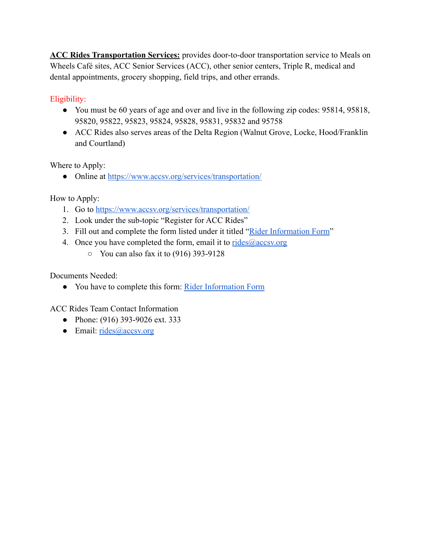**ACC Rides Transportation Services:** provides door-to-door transportation service to Meals on Wheels Café sites, ACC Senior Services (ACC), other senior centers, Triple R, medical and dental appointments, grocery shopping, field trips, and other errands.

Eligibility:

- You must be 60 years of age and over and live in the following zip codes: 95814, 95818, 95820, 95822, 95823, 95824, 95828, 95831, 95832 and 95758
- ACC Rides also serves areas of the Delta Region (Walnut Grove, Locke, Hood/Franklin and Courtland)

Where to Apply:

● Online at <https://www.accsv.org/services/transportation/>

How to Apply:

- 1. Go to <https://www.accsv.org/services/transportation/>
- 2. Look under the sub-topic "Register for ACC Rides"
- 3. Fill out and complete the form listed under it titled ["Rider Information Form](https://drive.google.com/file/d/1yKd9b7td-snsjmJoBduoaQuHmlGGDc-h/view)"
- 4. Once you have completed the form, email it to  $\frac{r \cdot r}{r \cdot 1}$ 
	- $\circ$  You can also fax it to (916) 393-9128

Documents Needed:

● You have to complete this form: [Rider Information](https://drive.google.com/file/d/1yKd9b7td-snsjmJoBduoaQuHmlGGDc-h/view) Form

ACC Rides Team Contact Information

- Phone: (916) 393-9026 ext. 333
- $\bullet$  Email: [rides@accsv.org](mailto:rides@accsv.org)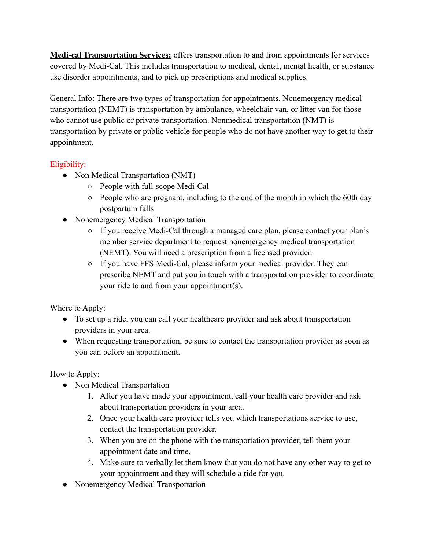**Medi-cal Transportation Services:** offers transportation to and from appointments for services covered by Medi-Cal. This includes transportation to medical, dental, mental health, or substance use disorder appointments, and to pick up prescriptions and medical supplies.

General Info: There are two types of transportation for appointments. Nonemergency medical transportation (NEMT) is transportation by ambulance, wheelchair van, or litter van for those who cannot use public or private transportation. Nonmedical transportation (NMT) is transportation by private or public vehicle for people who do not have another way to get to their appointment.

## Eligibility:

- Non Medical Transportation (NMT)
	- People with full-scope Medi-Cal
	- People who are pregnant, including to the end of the month in which the 60th day postpartum falls
- Nonemergency Medical Transportation
	- If you receive Medi-Cal through a managed care plan, please contact your plan's member service department to request nonemergency medical transportation (NEMT). You will need a prescription from a licensed provider.
	- If you have FFS Medi-Cal, please inform your medical provider. They can prescribe NEMT and put you in touch with a transportation provider to coordinate your ride to and from your appointment(s).

Where to Apply:

- To set up a ride, you can call your healthcare provider and ask about transportation providers in your area.
- When requesting transportation, be sure to contact the transportation provider as soon as you can before an appointment.

How to Apply:

- Non Medical Transportation
	- 1. After you have made your appointment, call your health care provider and ask about transportation providers in your area.
	- 2. Once your health care provider tells you which transportations service to use, contact the transportation provider.
	- 3. When you are on the phone with the transportation provider, tell them your appointment date and time.
	- 4. Make sure to verbally let them know that you do not have any other way to get to your appointment and they will schedule a ride for you.
- Nonemergency Medical Transportation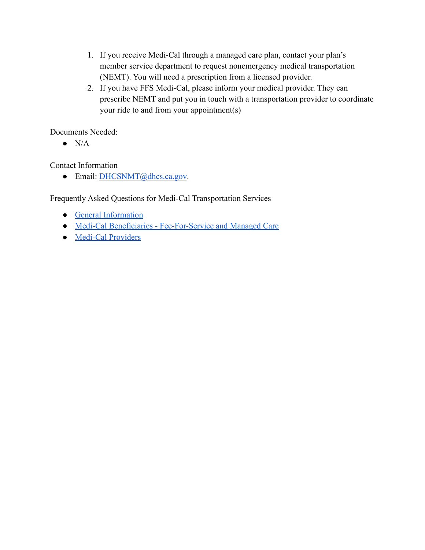- 1. If you receive Medi-Cal through a managed care plan, contact your plan's member service department to request nonemergency medical transportation (NEMT). You will need a prescription from a licensed provider.
- 2. If you have FFS Medi-Cal, please inform your medical provider. They can prescribe NEMT and put you in touch with a transportation provider to coordinate your ride to and from your appointment(s)

Documents Needed:

 $\bullet$  N/A

Contact Information

● Email: [DHCSNMT@dhcs.ca.gov](mailto:DHCSNMT@dhcs.ca.gov).

Frequently Asked Questions for Medi-Cal Transportation Services

- [General Information](https://www.dhcs.ca.gov/services/medi-cal/Pages/Transportation_General_FAQ.aspx)
- [Medi-Cal Beneficiaries Fee-For-Service and Managed Care](https://www.dhcs.ca.gov/services/medi-cal/Pages/Transportation_Beneficiaries_FAQ.aspx)
- [Medi-Cal Providers](https://www.dhcs.ca.gov/services/medi-cal/Pages/Transportation_Provider_FAQ.aspx)